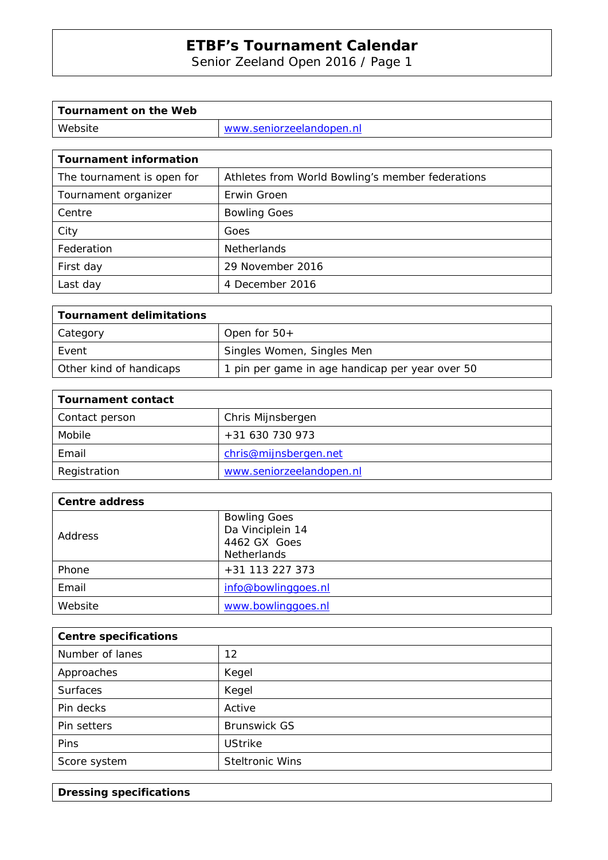Senior Zeeland Open 2016 / Page 1

| Tournament on the Web |                          |
|-----------------------|--------------------------|
| Website               | www.seniorzeelandopen.nl |

| <b>Tournament information</b> |                                                  |  |
|-------------------------------|--------------------------------------------------|--|
| The tournament is open for    | Athletes from World Bowling's member federations |  |
| Tournament organizer          | Erwin Groen                                      |  |
| Centre                        | <b>Bowling Goes</b>                              |  |
| City                          | Goes                                             |  |
| Federation                    | Netherlands                                      |  |
| First day                     | 29 November 2016                                 |  |
| Last day                      | 4 December 2016                                  |  |

| Tournament delimitations |                                                 |
|--------------------------|-------------------------------------------------|
| Category                 | Open for $50+$                                  |
| Event                    | Singles Women, Singles Men                      |
| Other kind of handicaps  | 1 pin per game in age handicap per year over 50 |

| <b>Tournament contact</b> |                          |
|---------------------------|--------------------------|
| Contact person            | Chris Mijnsbergen        |
| Mobile                    | +31 630 730 973          |
| Email                     | chris@mijnsbergen.net    |
| Registration              | www.seniorzeelandopen.nl |

| <b>Centre address</b> |                     |
|-----------------------|---------------------|
|                       | <b>Bowling Goes</b> |
| <b>Address</b>        | Da Vinciplein 14    |
|                       | 4462 GX Goes        |
|                       | <b>Netherlands</b>  |
| Phone                 | +31 113 227 373     |
| Email                 | info@bowlinggoes.nl |
| Website               | www.bowlinggoes.nl  |

| <b>Centre specifications</b> |                        |
|------------------------------|------------------------|
| Number of lanes              | 12                     |
| Approaches                   | Kegel                  |
| <b>Surfaces</b>              | Kegel                  |
| Pin decks                    | Active                 |
| Pin setters                  | <b>Brunswick GS</b>    |
| <b>Pins</b>                  | <b>UStrike</b>         |
| Score system                 | <b>Steltronic Wins</b> |

**Dressing specifications**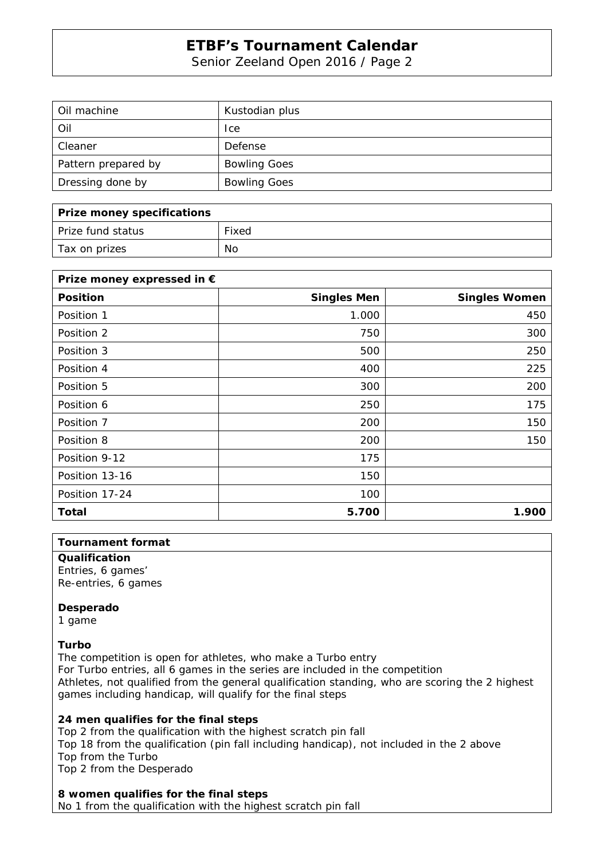Senior Zeeland Open 2016 / Page 2

| Oil machine         | Kustodian plus      |
|---------------------|---------------------|
| Oil                 | <sub>l</sub> ce     |
| Cleaner             | Defense             |
| Pattern prepared by | <b>Bowling Goes</b> |
| Dressing done by    | <b>Bowling Goes</b> |

| Prize money specifications |       |
|----------------------------|-------|
| Prize fund status          | Fixed |
| Tax on prizes              | No    |

| Prize money expressed in € |                    |                      |
|----------------------------|--------------------|----------------------|
| <b>Position</b>            | <b>Singles Men</b> | <b>Singles Women</b> |
| Position 1                 | 1.000              | 450                  |
| Position 2                 | 750                | 300                  |
| Position 3                 | 500                | 250                  |
| Position 4                 | 400                | 225                  |
| Position 5                 | 300                | 200                  |
| Position 6                 | 250                | 175                  |
| Position 7                 | 200                | 150                  |
| Position 8                 | 200                | 150                  |
| Position 9-12              | 175                |                      |
| Position 13-16             | 150                |                      |
| Position 17-24             | 100                |                      |
| Total                      | 5.700              | 1.900                |

#### **Tournament format**

**Qualification**  Entries, 6 games'

Re-entries, 6 games

### **Desperado**

1 game

### **Turbo**

The competition is open for athletes, who make a Turbo entry For Turbo entries, all 6 games in the series are included in the competition Athletes, not qualified from the general qualification standing, who are scoring the 2 highest games including handicap, will qualify for the final steps

## **24 men qualifies for the final steps**

Top 2 from the qualification with the highest scratch pin fall Top 18 from the qualification (pin fall including handicap), not included in the 2 above Top from the Turbo Top 2 from the Desperado

### **8 women qualifies for the final steps**

No 1 from the qualification with the highest scratch pin fall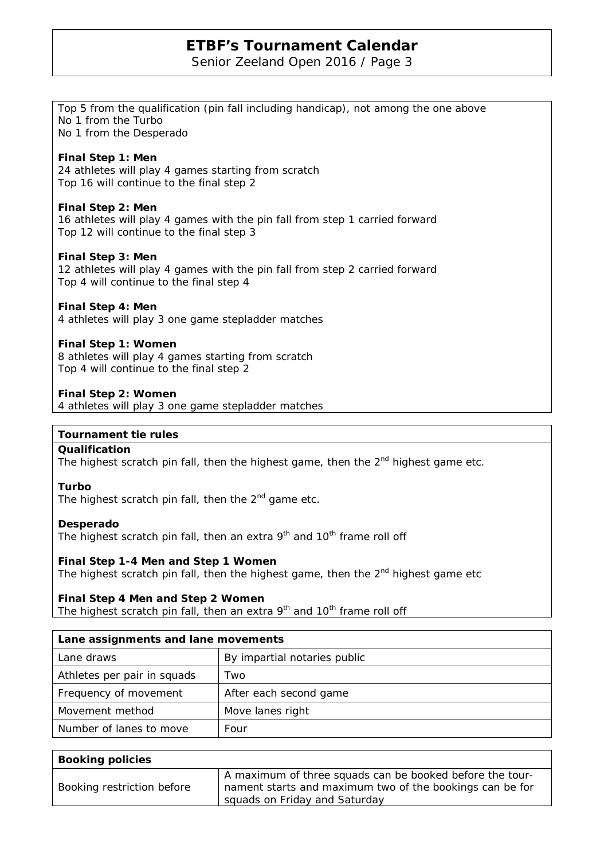Senior Zeeland Open 2016 / Page 3

Top 5 from the qualification (pin fall including handicap), not among the one above

No 1 from the Turbo No 1 from the Desperado

| Final Step 1: Men<br>24 athletes will play 4 games starting from scratch<br>Top 16 will continue to the final step 2                               |  |  |
|----------------------------------------------------------------------------------------------------------------------------------------------------|--|--|
| Final Step 2: Men<br>16 athletes will play 4 games with the pin fall from step 1 carried forward<br>Top 12 will continue to the final step 3       |  |  |
| <b>Final Step 3: Men</b><br>12 athletes will play 4 games with the pin fall from step 2 carried forward<br>Top 4 will continue to the final step 4 |  |  |
| Final Step 4: Men<br>4 athletes will play 3 one game stepladder matches                                                                            |  |  |
| Final Step 1: Women<br>8 athletes will play 4 games starting from scratch<br>Top 4 will continue to the final step 2                               |  |  |
| 4 athletes will play 3 one game stepladder matches                                                                                                 |  |  |
| <b>Tournament tie rules</b>                                                                                                                        |  |  |
|                                                                                                                                                    |  |  |
|                                                                                                                                                    |  |  |
| The highest scratch pin fall, then the highest game, then the $2nd$ highest game etc.                                                              |  |  |
| The highest scratch pin fall, then the $2nd$ game etc.                                                                                             |  |  |
| The highest scratch pin fall, then an extra $9th$ and $10th$ frame roll off                                                                        |  |  |
| Final Step 1-4 Men and Step 1 Women                                                                                                                |  |  |
| The highest scratch pin fall, then the highest game, then the $2nd$ highest game etc                                                               |  |  |
| Final Step 4 Men and Step 2 Women                                                                                                                  |  |  |
| The highest scratch pin fall, then an extra 9 <sup>th</sup> and 10 <sup>th</sup> frame roll off                                                    |  |  |
| Lane assignments and lane movements                                                                                                                |  |  |
| By impartial notaries public                                                                                                                       |  |  |
| Two                                                                                                                                                |  |  |
| After each second game                                                                                                                             |  |  |
| Move lanes right                                                                                                                                   |  |  |
|                                                                                                                                                    |  |  |

| <b>Booking policies</b>    |                                                                                                                                                       |
|----------------------------|-------------------------------------------------------------------------------------------------------------------------------------------------------|
| Booking restriction before | A maximum of three squads can be booked before the tour-<br>nament starts and maximum two of the bookings can be for<br>squads on Friday and Saturday |